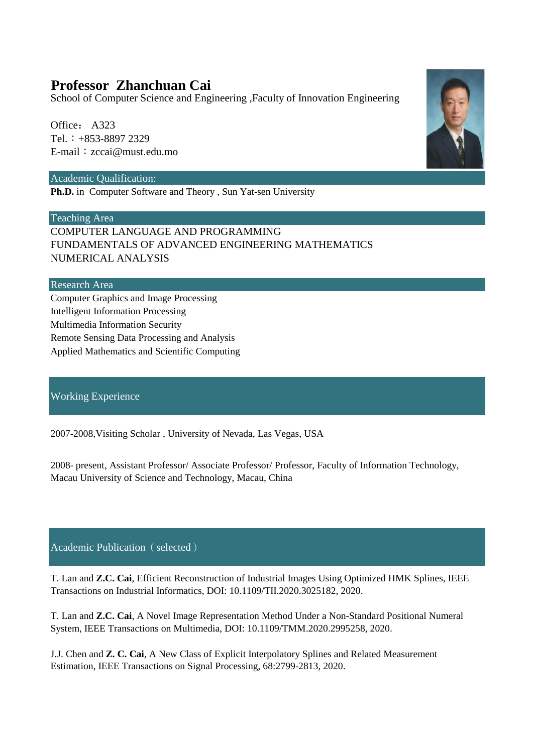# **Professor Zhanchuan Cai**

School of Computer Science and Engineering ,Faculty of Innovation Engineering

Office: A323 Tel.:+853-8897 2329 E-mail:zccai@must.edu.mo

# Academic Qualification:

**Ph.D.** in Computer Software and Theory, Sun Yat-sen University

Teaching Area

COMPUTER LANGUAGE AND PROGRAMMING FUNDAMENTALS OF ADVANCED ENGINEERING MATHEMATICS NUMERICAL ANALYSIS

# Research Area

Computer Graphics and Image Processing Intelligent Information Processing Multimedia Information Security Remote Sensing Data Processing and Analysis Applied Mathematics and Scientific Computing

# Working Experience

2007-2008,Visiting Scholar , University of Nevada, Las Vegas, USA

2008- present, Assistant Professor/ Associate Professor/ Professor, Faculty of Information Technology, Macau University of Science and Technology, Macau, China

Academic Publication (selected)

T. Lan and **Z.C. Cai**, Efficient Reconstruction of Industrial Images Using Optimized HMK Splines, IEEE Transactions on Industrial Informatics, DOI: 10.1109/TII.2020.3025182, 2020.

T. Lan and **Z.C. Cai**, A Novel Image Representation Method Under a Non-Standard Positional Numeral System, IEEE Transactions on Multimedia, DOI: 10.1109/TMM.2020.2995258, 2020.

J.J. Chen and **Z. C. Cai**, A New Class of Explicit Interpolatory Splines and Related Measurement Estimation, IEEE Transactions on Signal Processing, 68:2799-2813, 2020.

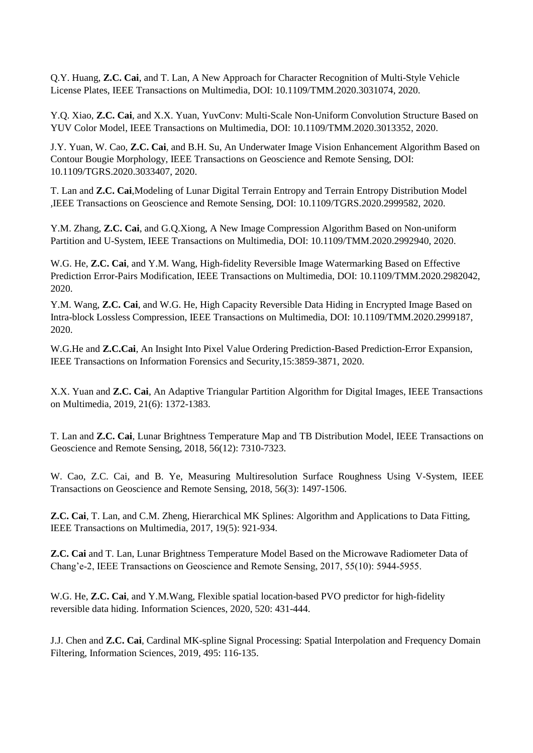Q.Y. Huang, **Z.C. Cai**, and T. Lan, A New Approach for Character Recognition of Multi-Style Vehicle License Plates, IEEE Transactions on Multimedia, DOI: 10.1109/TMM.2020.3031074, 2020.

Y.Q. Xiao, **Z.C. Cai**, and X.X. Yuan, YuvConv: Multi-Scale Non-Uniform Convolution Structure Based on YUV Color Model, IEEE Transactions on Multimedia, DOI: 10.1109/TMM.2020.3013352, 2020.

J.Y. Yuan, W. Cao, **Z.C. Cai**, and B.H. Su, An Underwater Image Vision Enhancement Algorithm Based on Contour Bougie Morphology, IEEE Transactions on Geoscience and Remote Sensing, DOI: 10.1109/TGRS.2020.3033407, 2020.

T. Lan and **Z.C. Cai**,Modeling of Lunar Digital Terrain Entropy and Terrain Entropy Distribution Model ,IEEE Transactions on Geoscience and Remote Sensing, DOI: 10.1109/TGRS.2020.2999582, 2020.

Y.M. Zhang, **Z.C. Cai**, and G.Q.Xiong, A New Image Compression Algorithm Based on Non-uniform Partition and U-System, IEEE Transactions on Multimedia, DOI: 10.1109/TMM.2020.2992940, 2020.

W.G. He, **Z.C. Cai**, and Y.M. Wang, High-fidelity Reversible Image Watermarking Based on Effective Prediction Error-Pairs Modification, IEEE Transactions on Multimedia, DOI: 10.1109/TMM.2020.2982042, 2020.

Y.M. Wang, **Z.C. Cai**, and W.G. He, High Capacity Reversible Data Hiding in Encrypted Image Based on Intra-block Lossless Compression, IEEE Transactions on Multimedia, DOI: 10.1109/TMM.2020.2999187, 2020.

W.G.He and **Z.C.Cai**, An Insight Into Pixel Value Ordering Prediction-Based Prediction-Error Expansion, IEEE Transactions on Information Forensics and Security,15:3859-3871, 2020.

X.X. Yuan and **Z.C. Cai**, An Adaptive Triangular Partition Algorithm for Digital Images, IEEE Transactions on Multimedia, 2019, 21(6): 1372-1383.

T. Lan and **Z.C. Cai**, Lunar Brightness Temperature Map and TB Distribution Model, IEEE Transactions on Geoscience and Remote Sensing, 2018, 56(12): 7310-7323.

W. Cao, Z.C. Cai, and B. Ye, Measuring Multiresolution Surface Roughness Using V-System, IEEE Transactions on Geoscience and Remote Sensing, 2018, 56(3): 1497-1506.

**Z.C. Cai**, T. Lan, and C.M. Zheng, Hierarchical MK Splines: Algorithm and Applications to Data Fitting, IEEE Transactions on Multimedia, 2017, 19(5): 921-934.

**Z.C. Cai** and T. Lan, Lunar Brightness Temperature Model Based on the Microwave Radiometer Data of Chang'e-2, IEEE Transactions on Geoscience and Remote Sensing, 2017, 55(10): 5944-5955.

W.G. He, **Z.C. Cai**, and Y.M.Wang, Flexible spatial location-based PVO predictor for high-fidelity reversible data hiding. Information Sciences, 2020, 520: 431-444.

J.J. Chen and **Z.C. Cai**, Cardinal MK-spline Signal Processing: Spatial Interpolation and Frequency Domain Filtering, Information Sciences, 2019, 495: 116-135.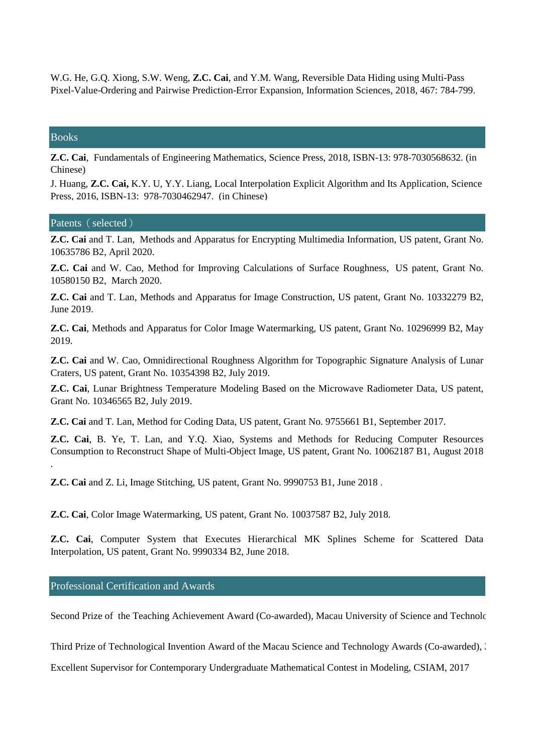W.G. He, G.Q. Xiong, S.W. Weng, **Z.C. Cai**, and Y.M. Wang, Reversible Data Hiding using Multi-Pass Pixel-Value-Ordering and Pairwise Prediction-Error Expansion, Information Sciences, 2018, 467: 784-799.

#### Books

.

**Z.C. Cai**, Fundamentals of Engineering Mathematics, Science Press, 2018, ISBN-13: 978-7030568632. (in Chinese)

J. Huang, **Z.C. Cai,** K.Y. U, Y.Y. Liang, Local Interpolation Explicit Algorithm and Its Application, Science Press, 2016, ISBN-13: 978-7030462947. (in Chinese)

#### Patents (selected)

**Z.C. Cai** and T. Lan, Methods and Apparatus for Encrypting Multimedia Information, US patent, Grant No. 10635786 B2, April 2020.

**Z.C. Cai** and W. Cao, Method for Improving Calculations of Surface Roughness, US patent, Grant No. 10580150 B2, March 2020.

**Z.C. Cai** and T. Lan, Methods and Apparatus for Image Construction, US patent, Grant No. 10332279 B2, June 2019.

**Z.C. Cai**, Methods and Apparatus for Color Image Watermarking, US patent, Grant No. 10296999 B2, May 2019.

**Z.C. Cai** and W. Cao, Omnidirectional Roughness Algorithm for Topographic Signature Analysis of Lunar Craters, US patent, Grant No. 10354398 B2, July 2019.

**Z.C. Cai**, Lunar Brightness Temperature Modeling Based on the Microwave Radiometer Data, US patent, Grant No. 10346565 B2, July 2019.

**Z.C. Cai** and T. Lan, Method for Coding Data, US patent, Grant No. 9755661 B1, September 2017.

**Z.C. Cai**, B. Ye, T. Lan, and Y.Q. Xiao, Systems and Methods for Reducing Computer Resources Consumption to Reconstruct Shape of Multi-Object Image, US patent, Grant No. 10062187 B1, August 2018

**Z.C. Cai** and Z. Li, Image Stitching, US patent, Grant No. 9990753 B1, June 2018 .

**Z.C. Cai**, Color Image Watermarking, US patent, Grant No. 10037587 B2, July 2018.

**Z.C. Cai**, Computer System that Executes Hierarchical MK Splines Scheme for Scattered Data Interpolation, US patent, Grant No. 9990334 B2, June 2018.

Professional Certification and Awards

Second Prize of the Teaching Achievement Award (Co-awarded), Macau University of Science and Technology, 2020.

Third Prize of Technological Invention Award of the Macau Science and Technology Awards (Co-awarded), 2018

Excellent Supervisor for Contemporary Undergraduate Mathematical Contest in Modeling, CSIAM, 2017